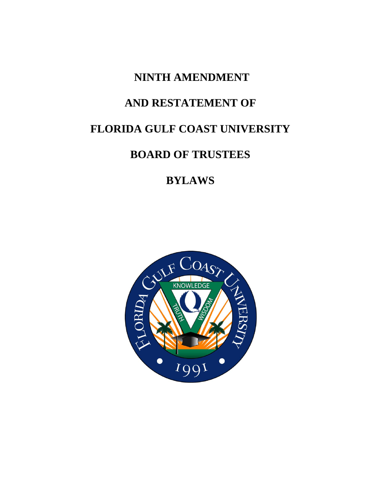## **NINTH AMENDMENT**

## **AND RESTATEMENT OF**

# **FLORIDA GULF COAST UNIVERSITY**

## **BOARD OF TRUSTEES**

# **BYLAWS**

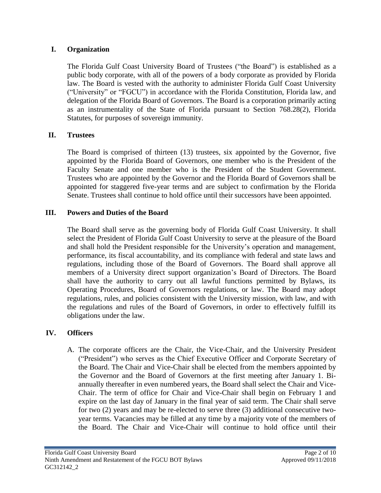### **I. Organization**

The Florida Gulf Coast University Board of Trustees ("the Board") is established as a public body corporate, with all of the powers of a body corporate as provided by Florida law. The Board is vested with the authority to administer Florida Gulf Coast University ("University" or "FGCU") in accordance with the Florida Constitution, Florida law, and delegation of the Florida Board of Governors. The Board is a corporation primarily acting as an instrumentality of the State of Florida pursuant to Section 768.28(2), Florida Statutes, for purposes of sovereign immunity.

## **II. Trustees**

The Board is comprised of thirteen (13) trustees, six appointed by the Governor, five appointed by the Florida Board of Governors, one member who is the President of the Faculty Senate and one member who is the President of the Student Government. Trustees who are appointed by the Governor and the Florida Board of Governors shall be appointed for staggered five-year terms and are subject to confirmation by the Florida Senate. Trustees shall continue to hold office until their successors have been appointed.

## **III. Powers and Duties of the Board**

The Board shall serve as the governing body of Florida Gulf Coast University. It shall select the President of Florida Gulf Coast University to serve at the pleasure of the Board and shall hold the President responsible for the University's operation and management, performance, its fiscal accountability, and its compliance with federal and state laws and regulations, including those of the Board of Governors. The Board shall approve all members of a University direct support organization's Board of Directors. The Board shall have the authority to carry out all lawful functions permitted by Bylaws, its Operating Procedures, Board of Governors regulations, or law. The Board may adopt regulations, rules, and policies consistent with the University mission, with law, and with the regulations and rules of the Board of Governors, in order to effectively fulfill its obligations under the law.

## **IV. Officers**

A. The corporate officers are the Chair, the Vice-Chair, and the University President ("President") who serves as the Chief Executive Officer and Corporate Secretary of the Board. The Chair and Vice-Chair shall be elected from the members appointed by the Governor and the Board of Governors at the first meeting after January 1. Biannually thereafter in even numbered years, the Board shall select the Chair and Vice-Chair. The term of office for Chair and Vice-Chair shall begin on February 1 and expire on the last day of January in the final year of said term. The Chair shall serve for two (2) years and may be re-elected to serve three (3) additional consecutive twoyear terms. Vacancies may be filled at any time by a majority vote of the members of the Board. The Chair and Vice-Chair will continue to hold office until their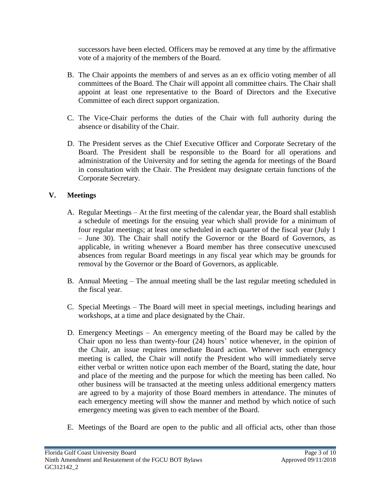successors have been elected. Officers may be removed at any time by the affirmative vote of a majority of the members of the Board.

- B. The Chair appoints the members of and serves as an ex officio voting member of all committees of the Board. The Chair will appoint all committee chairs. The Chair shall appoint at least one representative to the Board of Directors and the Executive Committee of each direct support organization.
- C. The Vice-Chair performs the duties of the Chair with full authority during the absence or disability of the Chair.
- D. The President serves as the Chief Executive Officer and Corporate Secretary of the Board. The President shall be responsible to the Board for all operations and administration of the University and for setting the agenda for meetings of the Board in consultation with the Chair. The President may designate certain functions of the Corporate Secretary.

## **V. Meetings**

- A. Regular Meetings At the first meeting of the calendar year, the Board shall establish a schedule of meetings for the ensuing year which shall provide for a minimum of four regular meetings; at least one scheduled in each quarter of the fiscal year (July 1 – June 30). The Chair shall notify the Governor or the Board of Governors, as applicable, in writing whenever a Board member has three consecutive unexcused absences from regular Board meetings in any fiscal year which may be grounds for removal by the Governor or the Board of Governors, as applicable.
- B. Annual Meeting The annual meeting shall be the last regular meeting scheduled in the fiscal year.
- C. Special Meetings The Board will meet in special meetings, including hearings and workshops, at a time and place designated by the Chair.
- D. Emergency Meetings An emergency meeting of the Board may be called by the Chair upon no less than twenty-four (24) hours' notice whenever, in the opinion of the Chair, an issue requires immediate Board action. Whenever such emergency meeting is called, the Chair will notify the President who will immediately serve either verbal or written notice upon each member of the Board, stating the date, hour and place of the meeting and the purpose for which the meeting has been called. No other business will be transacted at the meeting unless additional emergency matters are agreed to by a majority of those Board members in attendance. The minutes of each emergency meeting will show the manner and method by which notice of such emergency meeting was given to each member of the Board.
- E. Meetings of the Board are open to the public and all official acts, other than those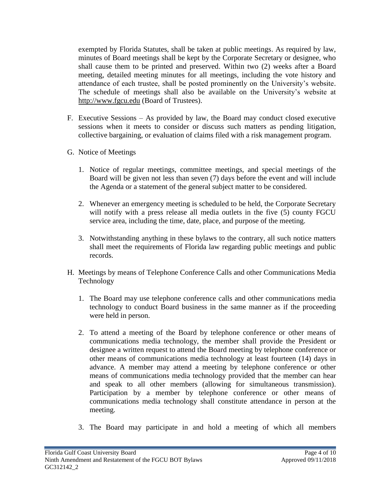exempted by Florida Statutes, shall be taken at public meetings. As required by law, minutes of Board meetings shall be kept by the Corporate Secretary or designee, who shall cause them to be printed and preserved. Within two (2) weeks after a Board meeting, detailed meeting minutes for all meetings, including the vote history and attendance of each trustee, shall be posted prominently on the University's website. The schedule of meetings shall also be available on the University's website at [http://www.fgcu.edu](http://www.fgcu.edu/) (Board of Trustees).

- F. Executive Sessions As provided by law, the Board may conduct closed executive sessions when it meets to consider or discuss such matters as pending litigation, collective bargaining, or evaluation of claims filed with a risk management program.
- G. Notice of Meetings
	- 1. Notice of regular meetings, committee meetings, and special meetings of the Board will be given not less than seven (7) days before the event and will include the Agenda or a statement of the general subject matter to be considered.
	- 2. Whenever an emergency meeting is scheduled to be held, the Corporate Secretary will notify with a press release all media outlets in the five (5) county FGCU service area, including the time, date, place, and purpose of the meeting.
	- 3. Notwithstanding anything in these bylaws to the contrary, all such notice matters shall meet the requirements of Florida law regarding public meetings and public records.
- H. Meetings by means of Telephone Conference Calls and other Communications Media Technology
	- 1. The Board may use telephone conference calls and other communications media technology to conduct Board business in the same manner as if the proceeding were held in person.
	- 2. To attend a meeting of the Board by telephone conference or other means of communications media technology, the member shall provide the President or designee a written request to attend the Board meeting by telephone conference or other means of communications media technology at least fourteen (14) days in advance. A member may attend a meeting by telephone conference or other means of communications media technology provided that the member can hear and speak to all other members (allowing for simultaneous transmission). Participation by a member by telephone conference or other means of communications media technology shall constitute attendance in person at the meeting.
	- 3. The Board may participate in and hold a meeting of which all members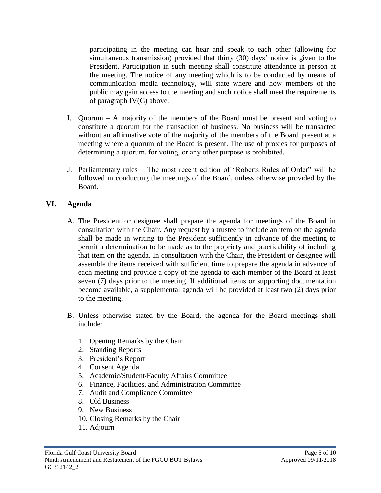participating in the meeting can hear and speak to each other (allowing for simultaneous transmission) provided that thirty (30) days' notice is given to the President. Participation in such meeting shall constitute attendance in person at the meeting. The notice of any meeting which is to be conducted by means of communication media technology, will state where and how members of the public may gain access to the meeting and such notice shall meet the requirements of paragraph IV(G) above.

- I. Quorum A majority of the members of the Board must be present and voting to constitute a quorum for the transaction of business. No business will be transacted without an affirmative vote of the majority of the members of the Board present at a meeting where a quorum of the Board is present. The use of proxies for purposes of determining a quorum, for voting, or any other purpose is prohibited.
- J. Parliamentary rules The most recent edition of "Roberts Rules of Order" will be followed in conducting the meetings of the Board, unless otherwise provided by the Board.

### **VI. Agenda**

- A. The President or designee shall prepare the agenda for meetings of the Board in consultation with the Chair. Any request by a trustee to include an item on the agenda shall be made in writing to the President sufficiently in advance of the meeting to permit a determination to be made as to the propriety and practicability of including that item on the agenda. In consultation with the Chair, the President or designee will assemble the items received with sufficient time to prepare the agenda in advance of each meeting and provide a copy of the agenda to each member of the Board at least seven (7) days prior to the meeting. If additional items or supporting documentation become available, a supplemental agenda will be provided at least two (2) days prior to the meeting.
- B. Unless otherwise stated by the Board, the agenda for the Board meetings shall include:
	- 1. Opening Remarks by the Chair
	- 2. Standing Reports
	- 3. President's Report
	- 4. Consent Agenda
	- 5. Academic/Student/Faculty Affairs Committee
	- 6. Finance, Facilities, and Administration Committee
	- 7. Audit and Compliance Committee
	- 8. Old Business
	- 9. New Business
	- 10. Closing Remarks by the Chair
	- 11. Adjourn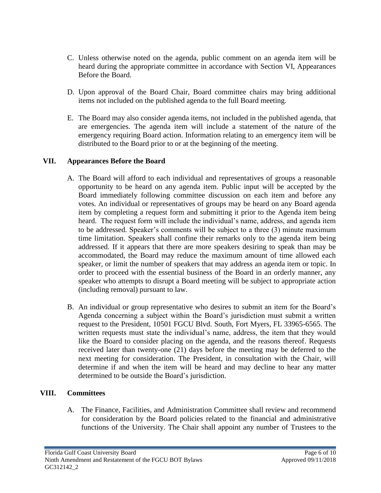- C. Unless otherwise noted on the agenda, public comment on an agenda item will be heard during the appropriate committee in accordance with Section VI, Appearances Before the Board.
- D. Upon approval of the Board Chair, Board committee chairs may bring additional items not included on the published agenda to the full Board meeting.
- E. The Board may also consider agenda items, not included in the published agenda, that are emergencies. The agenda item will include a statement of the nature of the emergency requiring Board action. Information relating to an emergency item will be distributed to the Board prior to or at the beginning of the meeting.

### **VII. Appearances Before the Board**

- A. The Board will afford to each individual and representatives of groups a reasonable opportunity to be heard on any agenda item. Public input will be accepted by the Board immediately following committee discussion on each item and before any votes. An individual or representatives of groups may be heard on any Board agenda item by completing a request form and submitting it prior to the Agenda item being heard. The request form will include the individual's name, address, and agenda item to be addressed. Speaker's comments will be subject to a three (3) minute maximum time limitation. Speakers shall confine their remarks only to the agenda item being addressed. If it appears that there are more speakers desiring to speak than may be accommodated, the Board may reduce the maximum amount of time allowed each speaker, or limit the number of speakers that may address an agenda item or topic. In order to proceed with the essential business of the Board in an orderly manner, any speaker who attempts to disrupt a Board meeting will be subject to appropriate action (including removal) pursuant to law.
- B. An individual or group representative who desires to submit an item for the Board's Agenda concerning a subject within the Board's jurisdiction must submit a written request to the President, 10501 FGCU Blvd. South, Fort Myers, FL 33965-6565. The written requests must state the individual's name, address, the item that they would like the Board to consider placing on the agenda, and the reasons thereof. Requests received later than twenty-one (21) days before the meeting may be deferred to the next meeting for consideration. The President, in consultation with the Chair, will determine if and when the item will be heard and may decline to hear any matter determined to be outside the Board's jurisdiction.

#### **VIII. Committees**

A. The Finance, Facilities, and Administration Committee shall review and recommend for consideration by the Board policies related to the financial and administrative functions of the University. The Chair shall appoint any number of Trustees to the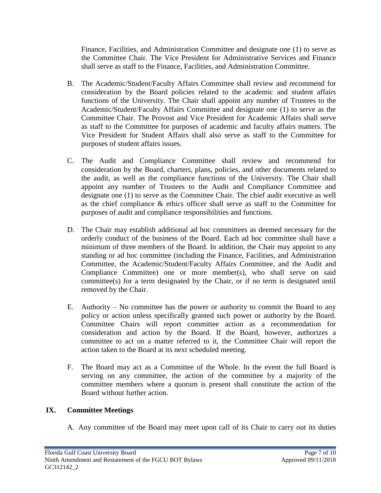Finance, Facilities, and Administration Committee and designate one (1) to serve as the Committee Chair. The Vice President for Administrative Services and Finance shall serve as staff to the Finance, Facilities, and Administration Committee.

- B. The Academic/Student/Faculty Affairs Committee shall review and recommend for consideration by the Board policies related to the academic and student affairs functions of the University. The Chair shall appoint any number of Trustees to the Academic/Student/Faculty Affairs Committee and designate one (1) to serve as the Committee Chair. The Provost and Vice President for Academic Affairs shall serve as staff to the Committee for purposes of academic and faculty affairs matters. The Vice President for Student Affairs shall also serve as staff to the Committee for purposes of student affairs issues.
- C. The Audit and Compliance Committee shall review and recommend for consideration by the Board, charters, plans, policies, and other documents related to the audit, as well as the compliance functions of the University. The Chair shall appoint any number of Trustees to the Audit and Compliance Committee and designate one (1) to serve as the Committee Chair. The chief audit executive as well as the chief compliance & ethics officer shall serve as staff to the Committee for purposes of audit and compliance responsibilities and functions.
- D. The Chair may establish additional ad hoc committees as deemed necessary for the orderly conduct of the business of the Board. Each ad hoc committee shall have a minimum of three members of the Board. In addition, the Chair may appoint to any standing or ad hoc committee (including the Finance, Facilities, and Administration Committee, the Academic/Student/Faculty Affairs Committee, and the Audit and Compliance Committee) one or more member(s), who shall serve on said committee(s) for a term designated by the Chair, or if no term is designated until removed by the Chair.
- E. Authority No committee has the power or authority to commit the Board to any policy or action unless specifically granted such power or authority by the Board. Committee Chairs will report committee action as a recommendation for consideration and action by the Board. If the Board, however, authorizes a committee to act on a matter referred to it, the Committee Chair will report the action taken to the Board at its next scheduled meeting.
- F. The Board may act as a Committee of the Whole. In the event the full Board is serving on any committee, the action of the committee by a majority of the committee members where a quorum is present shall constitute the action of the Board without further action.

### **IX. Committee Meetings**

A. Any committee of the Board may meet upon call of its Chair to carry out its duties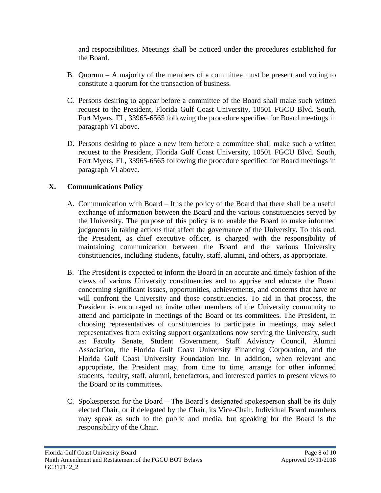and responsibilities. Meetings shall be noticed under the procedures established for the Board.

- B. Quorum A majority of the members of a committee must be present and voting to constitute a quorum for the transaction of business.
- C. Persons desiring to appear before a committee of the Board shall make such written request to the President, Florida Gulf Coast University, 10501 FGCU Blvd. South, Fort Myers, FL, 33965-6565 following the procedure specified for Board meetings in paragraph VI above.
- D. Persons desiring to place a new item before a committee shall make such a written request to the President, Florida Gulf Coast University, 10501 FGCU Blvd. South, Fort Myers, FL, 33965-6565 following the procedure specified for Board meetings in paragraph VI above.

## **X. Communications Policy**

- A. Communication with Board It is the policy of the Board that there shall be a useful exchange of information between the Board and the various constituencies served by the University. The purpose of this policy is to enable the Board to make informed judgments in taking actions that affect the governance of the University. To this end, the President, as chief executive officer, is charged with the responsibility of maintaining communication between the Board and the various University constituencies, including students, faculty, staff, alumni, and others, as appropriate.
- B. The President is expected to inform the Board in an accurate and timely fashion of the views of various University constituencies and to apprise and educate the Board concerning significant issues, opportunities, achievements, and concerns that have or will confront the University and those constituencies. To aid in that process, the President is encouraged to invite other members of the University community to attend and participate in meetings of the Board or its committees. The President, in choosing representatives of constituencies to participate in meetings, may select representatives from existing support organizations now serving the University, such as: Faculty Senate, Student Government, Staff Advisory Council, Alumni Association, the Florida Gulf Coast University Financing Corporation, and the Florida Gulf Coast University Foundation Inc. In addition, when relevant and appropriate, the President may, from time to time, arrange for other informed students, faculty, staff, alumni, benefactors, and interested parties to present views to the Board or its committees.
- C. Spokesperson for the Board The Board's designated spokesperson shall be its duly elected Chair, or if delegated by the Chair, its Vice-Chair. Individual Board members may speak as such to the public and media, but speaking for the Board is the responsibility of the Chair.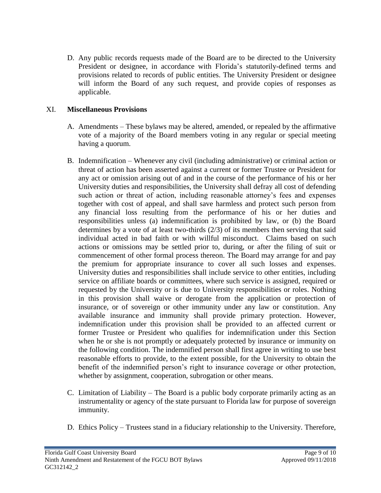D. Any public records requests made of the Board are to be directed to the University President or designee, in accordance with Florida's statutorily-defined terms and provisions related to records of public entities. The University President or designee will inform the Board of any such request, and provide copies of responses as applicable.

#### XI. **Miscellaneous Provisions**

- A. Amendments These bylaws may be altered, amended, or repealed by the affirmative vote of a majority of the Board members voting in any regular or special meeting having a quorum.
- B. Indemnification Whenever any civil (including administrative) or criminal action or threat of action has been asserted against a current or former Trustee or President for any act or omission arising out of and in the course of the performance of his or her University duties and responsibilities, the University shall defray all cost of defending such action or threat of action, including reasonable attorney's fees and expenses together with cost of appeal, and shall save harmless and protect such person from any financial loss resulting from the performance of his or her duties and responsibilities unless (a) indemnification is prohibited by law, or (b) the Board determines by a vote of at least two-thirds (2/3) of its members then serving that said individual acted in bad faith or with willful misconduct. Claims based on such actions or omissions may be settled prior to, during, or after the filing of suit or commencement of other formal process thereon. The Board may arrange for and pay the premium for appropriate insurance to cover all such losses and expenses. University duties and responsibilities shall include service to other entities, including service on affiliate boards or committees, where such service is assigned, required or requested by the University or is due to University responsibilities or roles. Nothing in this provision shall waive or derogate from the application or protection of insurance, or of sovereign or other immunity under any law or constitution. Any available insurance and immunity shall provide primary protection. However, indemnification under this provision shall be provided to an affected current or former Trustee or President who qualifies for indemnification under this Section when he or she is not promptly or adequately protected by insurance or immunity on the following condition. The indemnified person shall first agree in writing to use best reasonable efforts to provide, to the extent possible, for the University to obtain the benefit of the indemnified person's right to insurance coverage or other protection, whether by assignment, cooperation, subrogation or other means.
- C. Limitation of Liability The Board is a public body corporate primarily acting as an instrumentality or agency of the state pursuant to Florida law for purpose of sovereign immunity.
- D. Ethics Policy Trustees stand in a fiduciary relationship to the University. Therefore,